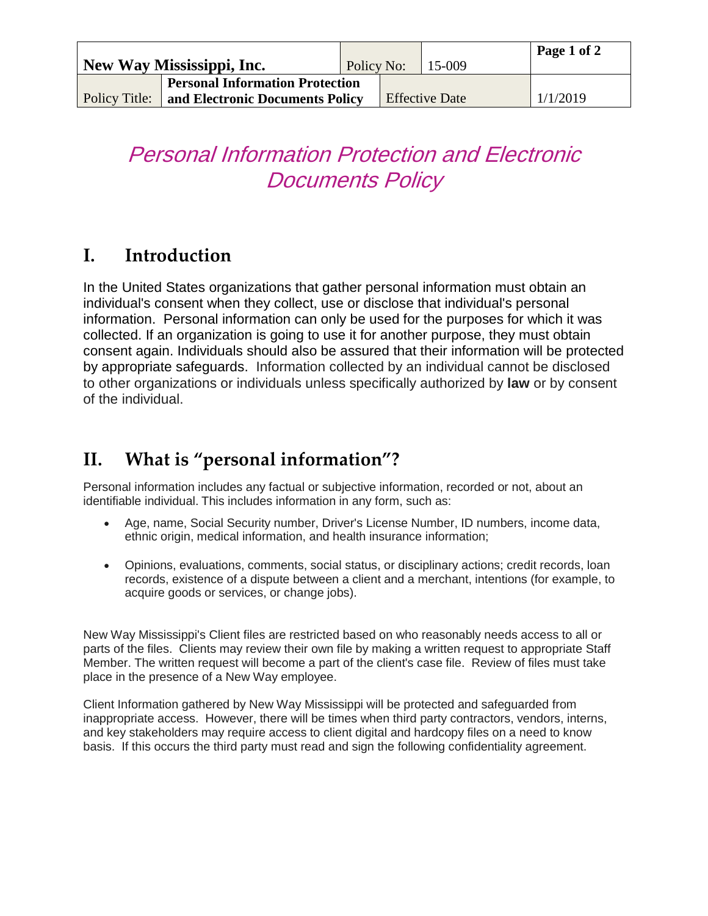|               | New Way Mississippi, Inc.              | Policy No:            |  | 15-009   | Page 1 of 2 |
|---------------|----------------------------------------|-----------------------|--|----------|-------------|
|               | <b>Personal Information Protection</b> |                       |  |          |             |
| Policy Title: | and Electronic Documents Policy        | <b>Effective Date</b> |  | 1/1/2019 |             |

## Personal Information Protection and Electronic Documents Policy

## **I. Introduction**

In the United States organizations that gather personal information must obtain an individual's consent when they collect, use or disclose that individual's personal information. Personal information can only be used for the purposes for which it was collected. If an organization is going to use it for another purpose, they must obtain consent again. Individuals should also be assured that their information will be protected by appropriate safeguards. Information collected by an individual cannot be disclosed to other organizations or individuals unless specifically authorized by **law** or by consent of the individual.

## **II. What is "personal information"?**

Personal information includes any factual or subjective information, recorded or not, about an identifiable individual. This includes information in any form, such as:

- Age, name, Social Security number, Driver's License Number, ID numbers, income data, ethnic origin, medical information, and health insurance information;
- Opinions, evaluations, comments, social status, or disciplinary actions; credit records, loan records, existence of a dispute between a client and a merchant, intentions (for example, to acquire goods or services, or change jobs).

New Way Mississippi's Client files are restricted based on who reasonably needs access to all or parts of the files. Clients may review their own file by making a written request to appropriate Staff Member. The written request will become a part of the client's case file. Review of files must take place in the presence of a New Way employee.

Client Information gathered by New Way Mississippi will be protected and safeguarded from inappropriate access. However, there will be times when third party contractors, vendors, interns, and key stakeholders may require access to client digital and hardcopy files on a need to know basis. If this occurs the third party must read and sign the following confidentiality agreement.